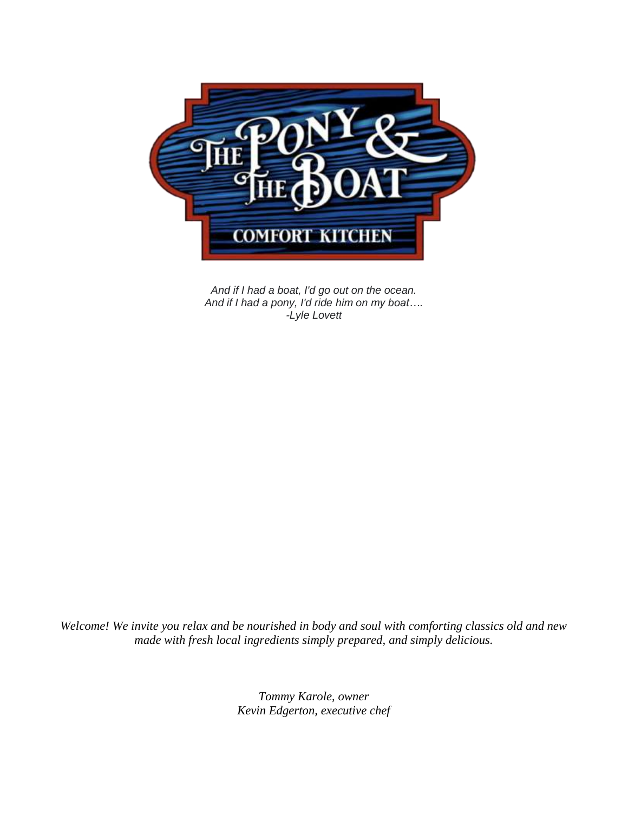

*And if I had a boat, I'd go out on the ocean. And if I had a pony, I'd ride him on my boat…. -Lyle Lovett*

*Welcome! We invite you relax and be nourished in body and soul with comforting classics old and new made with fresh local ingredients simply prepared, and simply delicious.*

> *Tommy Karole, owner Kevin Edgerton, executive chef*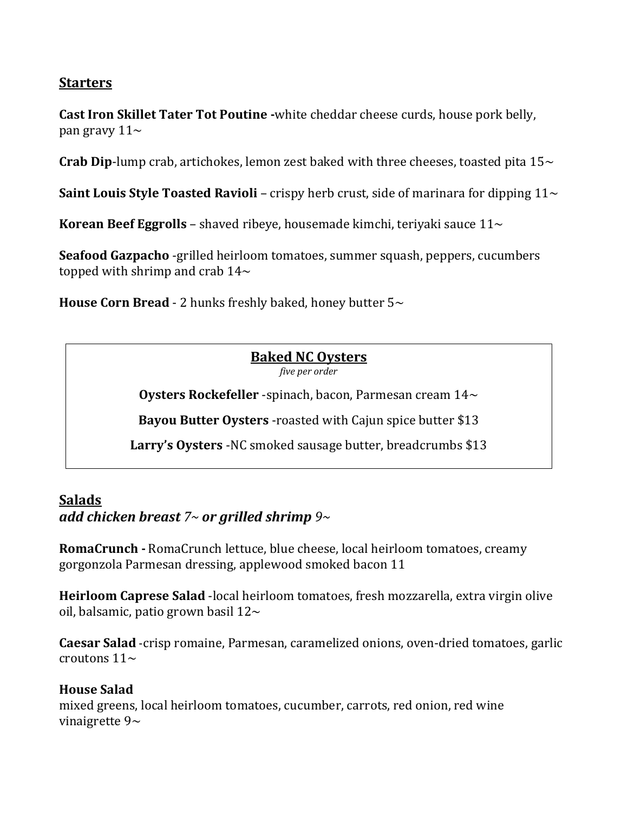## **Starters**

**Cast Iron Skillet Tater Tot Poutine -**white cheddar cheese curds, house pork belly, pan gravy  $11\sim$ 

**Crab Dip**-lump crab, artichokes, lemon zest baked with three cheeses, toasted pita  $15\sim$ 

**Saint Louis Style Toasted Ravioli** – crispy herb crust, side of marinara for dipping 11 $\sim$ 

**Korean Beef Eggrolls** – shaved ribeye, housemade kimchi, teriyaki sauce 11~

**Seafood Gazpacho** -grilled heirloom tomatoes, summer squash, peppers, cucumbers topped with shrimp and crab  $14\sim$ 

**House Corn Bread** - 2 hunks freshly baked, honey butter 5~

# **Baked NC Oysters**

*five per order*

**Oysters Rockefeller** -spinach, bacon, Parmesan cream 14~

**Bayou Butter Oysters** -roasted with Cajun spice butter \$13

**Larry's Oysters** -NC smoked sausage butter, breadcrumbs \$13

# **Salads**  *add chicken breast 7~ or grilled shrimp 9~*

**RomaCrunch -** RomaCrunch lettuce, blue cheese, local heirloom tomatoes, creamy gorgonzola Parmesan dressing, applewood smoked bacon 11

**Heirloom Caprese Salad** -local heirloom tomatoes, fresh mozzarella, extra virgin olive oil, balsamic, patio grown basil  $12~$ 

**Caesar Salad** -crisp romaine, Parmesan, caramelized onions, oven-dried tomatoes, garlic croutons  $11~$ 

#### **House Salad**

mixed greens, local heirloom tomatoes, cucumber, carrots, red onion, red wine vinaigrette  $9\sim$